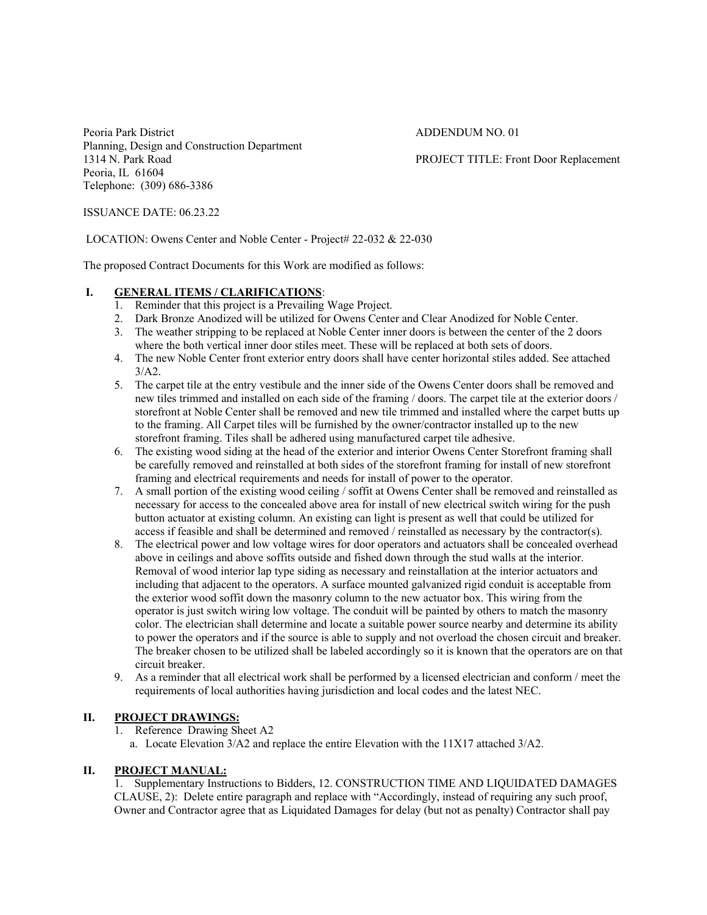Peoria Park District **ADDENDUM NO. 01** Planning, Design and Construction Department 1314 N. Park Road PROJECT TITLE: Front Door Replacement Peoria, IL 61604 Telephone: (309) 686-3386

ISSUANCE DATE: 06.23.22

LOCATION: Owens Center and Noble Center - Project# 22-032 & 22-030

The proposed Contract Documents for this Work are modified as follows:

## **I. GENERAL ITEMS / CLARIFICATIONS**:<br>1. Reminder that this project is a Prevailing

- Reminder that this project is a Prevailing Wage Project.
- 2. Dark Bronze Anodized will be utilized for Owens Center and Clear Anodized for Noble Center.
- 3. The weather stripping to be replaced at Noble Center inner doors is between the center of the 2 doors where the both vertical inner door stiles meet. These will be replaced at both sets of doors.
- 4. The new Noble Center front exterior entry doors shall have center horizontal stiles added. See attached  $3/A2$ .
- 5. The carpet tile at the entry vestibule and the inner side of the Owens Center doors shall be removed and new tiles trimmed and installed on each side of the framing / doors. The carpet tile at the exterior doors / storefront at Noble Center shall be removed and new tile trimmed and installed where the carpet butts up to the framing. All Carpet tiles will be furnished by the owner/contractor installed up to the new storefront framing. Tiles shall be adhered using manufactured carpet tile adhesive.
- 6. The existing wood siding at the head of the exterior and interior Owens Center Storefront framing shall be carefully removed and reinstalled at both sides of the storefront framing for install of new storefront framing and electrical requirements and needs for install of power to the operator.
- 7. A small portion of the existing wood ceiling / soffit at Owens Center shall be removed and reinstalled as necessary for access to the concealed above area for install of new electrical switch wiring for the push button actuator at existing column. An existing can light is present as well that could be utilized for access if feasible and shall be determined and removed / reinstalled as necessary by the contractor(s).
- 8. The electrical power and low voltage wires for door operators and actuators shall be concealed overhead above in ceilings and above soffits outside and fished down through the stud walls at the interior. Removal of wood interior lap type siding as necessary and reinstallation at the interior actuators and including that adjacent to the operators. A surface mounted galvanized rigid conduit is acceptable from the exterior wood soffit down the masonry column to the new actuator box. This wiring from the operator is just switch wiring low voltage. The conduit will be painted by others to match the masonry color. The electrician shall determine and locate a suitable power source nearby and determine its ability to power the operators and if the source is able to supply and not overload the chosen circuit and breaker. The breaker chosen to be utilized shall be labeled accordingly so it is known that the operators are on that circuit breaker.
- 9. As a reminder that all electrical work shall be performed by a licensed electrician and conform / meet the requirements of local authorities having jurisdiction and local codes and the latest NEC.

## **II. PROJECT DRAWINGS:**

1. Reference Drawing Sheet A2

a. Locate Elevation 3/A2 and replace the entire Elevation with the 11X17 attached 3/A2.

## **II. PROJECT MANUAL:**

 1. Supplementary Instructions to Bidders, 12. CONSTRUCTION TIME AND LIQUIDATED DAMAGES CLAUSE, 2): Delete entire paragraph and replace with "Accordingly, instead of requiring any such proof, Owner and Contractor agree that as Liquidated Damages for delay (but not as penalty) Contractor shall pay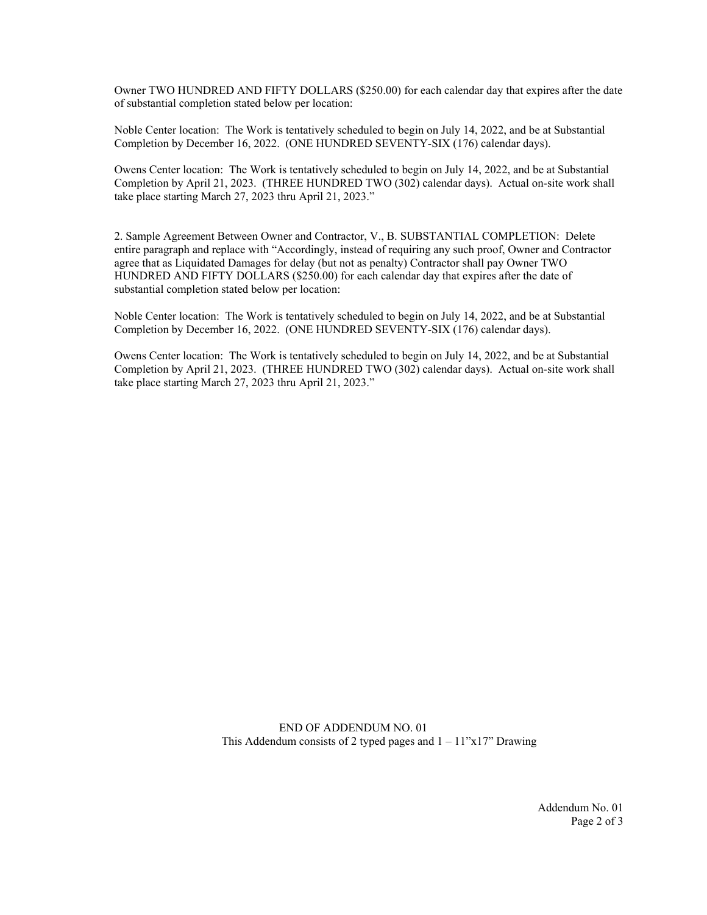Owner TWO HUNDRED AND FIFTY DOLLARS (\$250.00) for each calendar day that expires after the date of substantial completion stated below per location:

Noble Center location: The Work is tentatively scheduled to begin on July 14, 2022, and be at Substantial Completion by December 16, 2022. (ONE HUNDRED SEVENTY-SIX (176) calendar days).

Owens Center location: The Work is tentatively scheduled to begin on July 14, 2022, and be at Substantial Completion by April 21, 2023. (THREE HUNDRED TWO (302) calendar days). Actual on-site work shall take place starting March 27, 2023 thru April 21, 2023."

2. Sample Agreement Between Owner and Contractor, V., B. SUBSTANTIAL COMPLETION: Delete entire paragraph and replace with "Accordingly, instead of requiring any such proof, Owner and Contractor agree that as Liquidated Damages for delay (but not as penalty) Contractor shall pay Owner TWO HUNDRED AND FIFTY DOLLARS (\$250.00) for each calendar day that expires after the date of substantial completion stated below per location:

Noble Center location: The Work is tentatively scheduled to begin on July 14, 2022, and be at Substantial Completion by December 16, 2022. (ONE HUNDRED SEVENTY-SIX (176) calendar days).

Owens Center location: The Work is tentatively scheduled to begin on July 14, 2022, and be at Substantial Completion by April 21, 2023. (THREE HUNDRED TWO (302) calendar days). Actual on-site work shall take place starting March 27, 2023 thru April 21, 2023."

> END OF ADDENDUM NO. 01 This Addendum consists of 2 typed pages and  $1 - 11$ "x17" Drawing

> > Addendum No. 01 Page 2 of 3